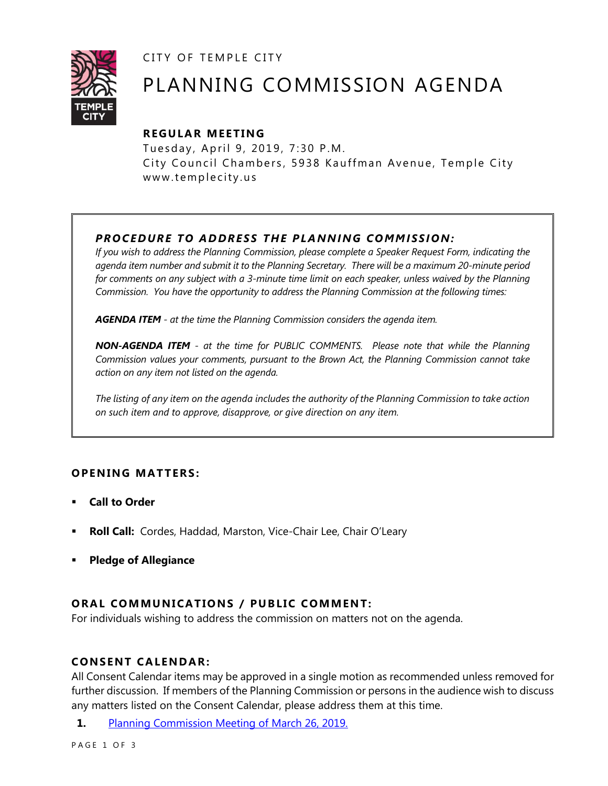CITY OF TEMPLE CITY



# PLANNING COMMISSION AGENDA

# **R EGULA R MEE TING**

Tuesday, April 9, 2019, 7:30 P.M. City Council Chambers, 5938 Kauffman Avenue, Temple City www.templecity.us

# *PRO CE DURE TO ADDRE SS THE P LA NNI NG COMM I SSION:*

*If you wish to address the Planning Commission, please complete a Speaker Request Form, indicating the agenda item number and submit it to the Planning Secretary. There will be a maximum 20-minute period*  for comments on any subject with a 3-minute time limit on each speaker, unless waived by the Planning *Commission. You have the opportunity to address the Planning Commission at the following times:*

*AGENDA ITEM - at the time the Planning Commission considers the agenda item.*

*NON-AGENDA ITEM - at the time for PUBLIC COMMENTS. Please note that while the Planning Commission values your comments, pursuant to the Brown Act, the Planning Commission cannot take action on any item not listed on the agenda.*

*The listing of any item on the agenda includes the authority of the Planning Commission to take action on such item and to approve, disapprove, or give direction on any item.*

## **OPENING MATTERS:**

- **Call to Order**
- **Roll Call:** Cordes, Haddad, Marston, Vice-Chair Lee, Chair O'Leary
- **Pledge of Allegiance**

## **ORAL COMMUNICATIONS / PUBLIC COMMENT:**

For individuals wishing to address the commission on matters not on the agenda.

## **CONSENT CA LENDAR:**

All Consent Calendar items may be approved in a single motion as recommended unless removed for further discussion. If members of the Planning Commission or persons in the audience wish to discuss any matters listed on the Consent Calendar, please address them at this time.

**1.** [Planning Commission Meeting of March 26, 2019.](https://www.ci.temple-city.ca.us/DocumentCenter/View/12255/032619-Minutes)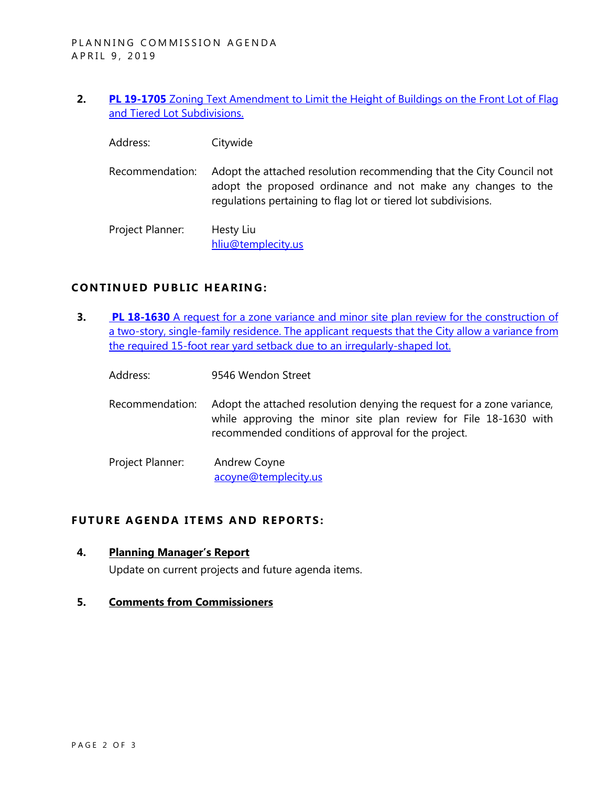- **2. PL 19-1705** [Zoning Text Amendment to Limit the Height of Buildings on the Front Lot of Flag](https://www.ci.temple-city.ca.us/DocumentCenter/View/12253/Zoning-Code-Amendments-Item-1)  [and Tiered Lot Subdivisions.](https://www.ci.temple-city.ca.us/DocumentCenter/View/12253/Zoning-Code-Amendments-Item-1)
	- Address: Citywide
	- Recommendation: Adopt the attached resolution recommending that the City Council not adopt the proposed ordinance and not make any changes to the regulations pertaining to flag lot or tiered lot subdivisions.

Project Planner: Hesty Liu [hliu@templecity.us](mailto:HLiu@templecity.us)

#### **CONTINUED PUBLIC HEARING:**

- **3. PL 18-1630** [A request for a zone variance and minor site plan review for the construction of](https://www.ci.temple-city.ca.us/DocumentCenter/View/12254/PL-18-1630-9546-Wendon-atttachment-2)  a two-story, single-family residence. The applicant requests that the City allow a variance from [the required 15-foot rear yard setback due to an irregularly-shaped lot.](https://www.ci.temple-city.ca.us/DocumentCenter/View/12254/PL-18-1630-9546-Wendon-atttachment-2)
	- Address: 9546 Wendon Street
	- Recommendation: Adopt the attached resolution denying the request for a zone variance, while approving the minor site plan review for File 18-1630 with recommended conditions of approval for the project.

Project Planner: Andrew Coyne [acoyne@templecity.us](mailto:acoyne@templecity.us)

#### **FUTURE AGENDA ITEMS AND REPORTS:**

**4. Planning Manager's Report**

Update on current projects and future agenda items.

#### **5. Comments from Commissioners**